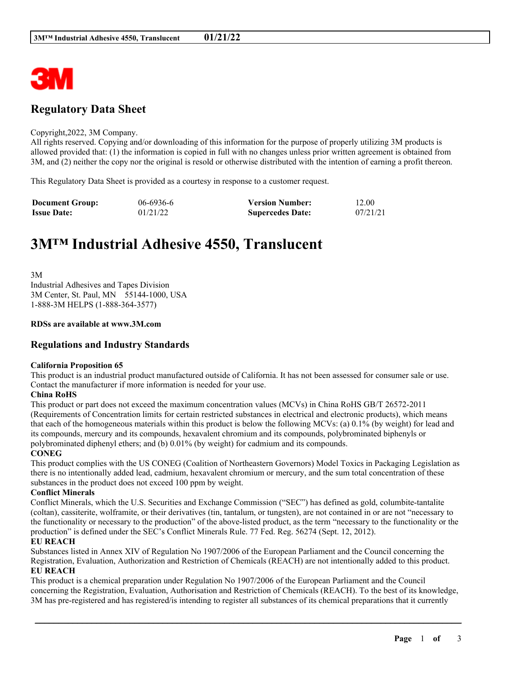

## **Regulatory Data Sheet**

#### Copyright,2022, 3M Company.

All rights reserved. Copying and/or downloading of this information for the purpose of properly utilizing 3M products is allowed provided that: (1) the information is copied in full with no changes unless prior written agreement is obtained from 3M, and (2) neither the copy nor the original is resold or otherwise distributed with the intention of earning a profit thereon.

This Regulatory Data Sheet is provided as a courtesy in response to a customer request.

| <b>Document Group:</b> | $06 - 6936 - 6$ | <b>Version Number:</b>  | 12.00    |
|------------------------|-----------------|-------------------------|----------|
| <b>Issue Date:</b>     | 01/21/22        | <b>Supercedes Date:</b> | 07/21/21 |

# **3M™ Industrial Adhesive 4550, Translucent**

3M Industrial Adhesives and Tapes Division 3M Center, St. Paul, MN 55144-1000, USA 1-888-3M HELPS (1-888-364-3577)

#### **RDSs are available at www.3M.com**

## **Regulations and Industry Standards**

#### **California Proposition 65**

This product is an industrial product manufactured outside of California. It has not been assessed for consumer sale or use. Contact the manufacturer if more information is needed for your use.

#### **China RoHS**

This product or part does not exceed the maximum concentration values (MCVs) in China RoHS GB/T 26572-2011 (Requirements of Concentration limits for certain restricted substances in electrical and electronic products), which means that each of the homogeneous materials within this product is below the following MCVs: (a) 0.1% (by weight) for lead and its compounds, mercury and its compounds, hexavalent chromium and its compounds, polybrominated biphenyls or polybrominated diphenyl ethers; and (b) 0.01% (by weight) for cadmium and its compounds.

#### **CONEG**

This product complies with the US CONEG (Coalition of Northeastern Governors) Model Toxics in Packaging Legislation as there is no intentionally added lead, cadmium, hexavalent chromium or mercury, and the sum total concentration of these substances in the product does not exceed 100 ppm by weight.

#### **Conflict Minerals**

Conflict Minerals, which the U.S. Securities and Exchange Commission ("SEC") has defined as gold, columbite-tantalite (coltan), cassiterite, wolframite, or their derivatives (tin, tantalum, or tungsten), are not contained in or are not "necessary to the functionality or necessary to the production" of the above-listed product, as the term "necessary to the functionality or the production" is defined under the SEC's Conflict Minerals Rule. 77 Fed. Reg. 56274 (Sept. 12, 2012).

#### **EU REACH**

Substances listed in Annex XIV of Regulation No 1907/2006 of the European Parliament and the Council concerning the Registration, Evaluation, Authorization and Restriction of Chemicals (REACH) are not intentionally added to this product. **EU REACH**

This product is a chemical preparation under Regulation No 1907/2006 of the European Parliament and the Council concerning the Registration, Evaluation, Authorisation and Restriction of Chemicals (REACH). To the best of its knowledge, 3M has pre-registered and has registered/is intending to register all substances of its chemical preparations that it currently

\_\_\_\_\_\_\_\_\_\_\_\_\_\_\_\_\_\_\_\_\_\_\_\_\_\_\_\_\_\_\_\_\_\_\_\_\_\_\_\_\_\_\_\_\_\_\_\_\_\_\_\_\_\_\_\_\_\_\_\_\_\_\_\_\_\_\_\_\_\_\_\_\_\_\_\_\_\_\_\_\_\_\_\_\_\_\_\_\_\_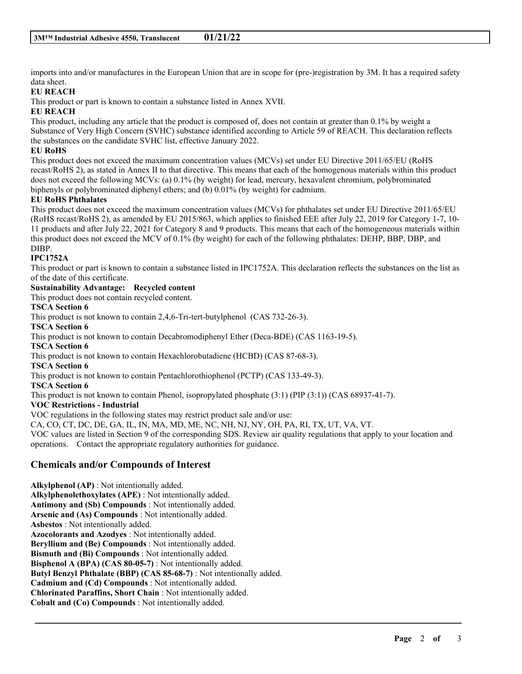imports into and/or manufactures in the European Union that are in scope for (pre-)registration by 3M. It has a required safety data sheet.

## **EU REACH**

This product or part is known to contain a substance listed in Annex XVII.

#### **EU REACH**

This product, including any article that the product is composed of, does not contain at greater than 0.1% by weight a Substance of Very High Concern (SVHC) substance identified according to Article 59 of REACH. This declaration reflects the substances on the candidate SVHC list, effective January 2022.

## **EU RoHS**

This product does not exceed the maximum concentration values (MCVs) set under EU Directive 2011/65/EU (RoHS recast/RoHS 2), as stated in Annex II to that directive. This means that each of the homogenous materials within this product does not exceed the following MCVs: (a) 0.1% (by weight) for lead, mercury, hexavalent chromium, polybrominated biphenyls or polybrominated diphenyl ethers; and (b) 0.01% (by weight) for cadmium.

## **EU RoHS Phthalates**

This product does not exceed the maximum concentration values (MCVs) for phthalates set under EU Directive 2011/65/EU (RoHS recast/RoHS 2), as amended by EU 2015/863, which applies to finished EEE after July 22, 2019 for Category 1-7, 10- 11 products and after July 22, 2021 for Category 8 and 9 products. This means that each of the homogeneous materials within this product does not exceed the MCV of 0.1% (by weight) for each of the following phthalates: DEHP, BBP, DBP, and DIBP.

## **IPC1752A**

This product or part is known to contain a substance listed in IPC1752A. This declaration reflects the substances on the list as of the date of this certificate.

#### **Sustainability Advantage: Recycled content**

This product does not contain recycled content.

#### **TSCA Section 6**

This product is not known to contain 2,4,6-Tri-tert-butylphenol (CAS 732-26-3).

**TSCA Section 6**

This product is not known to contain Decabromodiphenyl Ether (Deca-BDE) (CAS 1163-19-5).

## **TSCA Section 6**

This product is not known to contain Hexachlorobutadiene (HCBD) (CAS 87-68-3).

#### **TSCA Section 6**

This product is not known to contain Pentachlorothiophenol (PCTP) (CAS 133-49-3).

## **TSCA Section 6**

This product is not known to contain Phenol, isopropylated phosphate (3:1) (PIP (3:1)) (CAS 68937-41-7).

#### **VOC Restrictions - Industrial**

VOC regulations in the following states may restrict product sale and/or use:

CA, CO, CT, DC, DE, GA, IL, IN, MA, MD, ME, NC, NH, NJ, NY, OH, PA, RI, TX, UT, VA, VT.

VOC values are listed in Section 9 of the corresponding SDS. Review air quality regulations that apply to your location and operations. Contact the appropriate regulatory authorities for guidance.

\_\_\_\_\_\_\_\_\_\_\_\_\_\_\_\_\_\_\_\_\_\_\_\_\_\_\_\_\_\_\_\_\_\_\_\_\_\_\_\_\_\_\_\_\_\_\_\_\_\_\_\_\_\_\_\_\_\_\_\_\_\_\_\_\_\_\_\_\_\_\_\_\_\_\_\_\_\_\_\_\_\_\_\_\_\_\_\_\_\_

## **Chemicals and/or Compounds of Interest**

**Alkylphenol (AP)** : Not intentionally added. **Alkylphenolethoxylates (APE)** : Not intentionally added. **Antimony and (Sb) Compounds** : Not intentionally added. **Arsenic and (As) Compounds** : Not intentionally added. **Asbestos** : Not intentionally added. **Azocolorants and Azodyes** : Not intentionally added. **Beryllium and (Be) Compounds** : Not intentionally added. **Bismuth and (Bi) Compounds** : Not intentionally added. **Bisphenol A (BPA) (CAS 80-05-7)** : Not intentionally added. **Butyl Benzyl Phthalate (BBP) (CAS 85-68-7)** : Not intentionally added. **Cadmium and (Cd) Compounds** : Not intentionally added. **Chlorinated Paraffins, Short Chain** : Not intentionally added. **Cobalt and (Co) Compounds** : Not intentionally added.